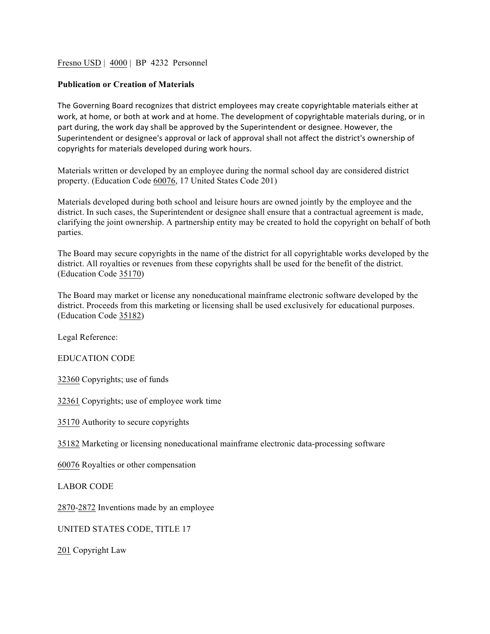## Fresno USD | 4000 | BP 4232 Personnel

## **Publication or Creation of Materials**

The Governing Board recognizes that district employees may create copyrightable materials either at work, at home, or both at work and at home. The development of copyrightable materials during, or in part during, the work day shall be approved by the Superintendent or designee. However, the Superintendent or designee's approval or lack of approval shall not affect the district's ownership of copyrights for materials developed during work hours.

Materials written or developed by an employee during the normal school day are considered district property. (Education Code 60076, 17 United States Code 201)

Materials developed during both school and leisure hours are owned jointly by the employee and the district. In such cases, the Superintendent or designee shall ensure that a contractual agreement is made, clarifying the joint ownership. A partnership entity may be created to hold the copyright on behalf of both parties.

The Board may secure copyrights in the name of the district for all copyrightable works developed by the district. All royalties or revenues from these copyrights shall be used for the benefit of the district. (Education Code 35170)

The Board may market or license any noneducational mainframe electronic software developed by the district. Proceeds from this marketing or licensing shall be used exclusively for educational purposes. (Education Code 35182)

Legal Reference:

EDUCATION CODE

32360 Copyrights; use of funds

32361 Copyrights; use of employee work time

35170 Authority to secure copyrights

35182 Marketing or licensing noneducational mainframe electronic data-processing software

60076 Royalties or other compensation

LABOR CODE

2870-2872 Inventions made by an employee

UNITED STATES CODE, TITLE 17

201 Copyright Law